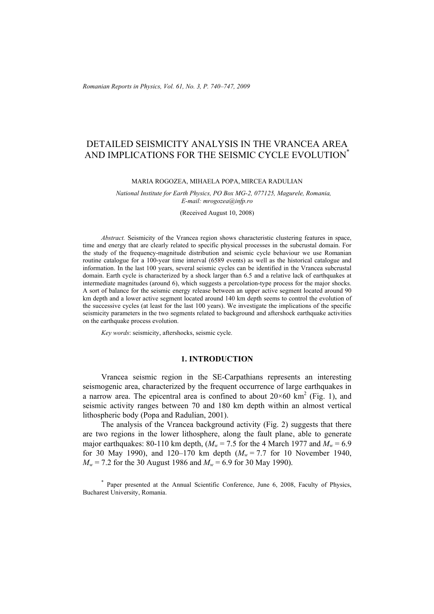# DETAILED SEISMICITY ANALYSIS IN THE VRANCEA AREA AND IMPLICATIONS FOR THE SEISMIC CYCLE EVOLUTION<sup>\*</sup>

#### MARIA ROGOZEA, MIHAELA POPA, MIRCEA RADULIAN

*National Institute for Earth Physics, PO Box MG-2, 077125, Magurele, Romania, E-mail: mrogozea@infp.ro* 

(Received August 10, 2008)

*Abstract.* Seismicity of the Vrancea region shows characteristic clustering features in space, time and energy that are clearly related to specific physical processes in the subcrustal domain. For the study of the frequency-magnitude distribution and seismic cycle behaviour we use Romanian routine catalogue for a 100-year time interval (6589 events) as well as the historical catalogue and information. In the last 100 years, several seismic cycles can be identified in the Vrancea subcrustal domain. Earth cycle is characterized by a shock larger than 6.5 and a relative lack of earthquakes at intermediate magnitudes (around 6), which suggests a percolation-type process for the major shocks. A sort of balance for the seismic energy release between an upper active segment located around 90 km depth and a lower active segment located around 140 km depth seems to control the evolution of the successive cycles (at least for the last 100 years). We investigate the implications of the specific seismicity parameters in the two segments related to background and aftershock earthquake activities on the earthquake process evolution.

*Key words*: seismicity, aftershocks, seismic cycle.

## **1. INTRODUCTION**

Vrancea seismic region in the SE-Carpathians represents an interesting seismogenic area, characterized by the frequent occurrence of large earthquakes in a narrow area. The epicentral area is confined to about  $20\times60 \text{ km}^2$  (Fig. 1), and seismic activity ranges between 70 and 180 km depth within an almost vertical lithospheric body (Popa and Radulian, 2001).

The analysis of the Vrancea background activity (Fig. 2) suggests that there are two regions in the lower lithosphere, along the fault plane, able to generate major earthquakes: 80-110 km depth,  $(M_w = 7.5$  for the 4 March 1977 and  $M_w = 6.9$ for 30 May 1990), and 120–170 km depth  $(M_w = 7.7$  for 10 November 1940,  $M_w$  = 7.2 for the 30 August 1986 and  $M_w$  = 6.9 for 30 May 1990).

<sup>\*</sup> Paper presented at the Annual Scientific Conference, June 6, 2008, Faculty of Physics, Bucharest University, Romania.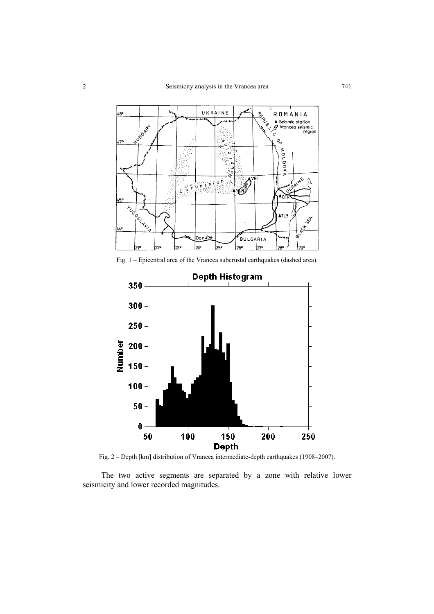

Fig. 1 – Epicentral area of the Vrancea subcrustal earthquakes (dashed area).



Fig. 2 – Depth [km] distribution of Vrancea intermediate-depth earthquakes (1908–2007).

The two active segments are separated by a zone with relative lower seismicity and lower recorded magnitudes.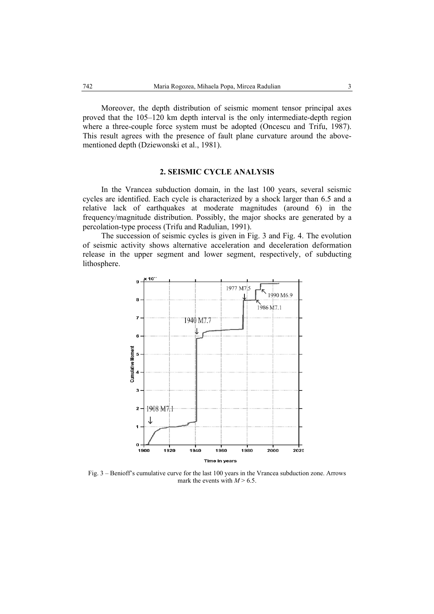Moreover, the depth distribution of seismic moment tensor principal axes proved that the 105–120 km depth interval is the only intermediate-depth region where a three-couple force system must be adopted (Oncescu and Trifu, 1987). This result agrees with the presence of fault plane curvature around the abovementioned depth (Dziewonski et al., 1981).

#### **2. SEISMIC CYCLE ANALYSIS**

In the Vrancea subduction domain, in the last 100 years, several seismic cycles are identified. Each cycle is characterized by a shock larger than 6.5 and a relative lack of earthquakes at moderate magnitudes (around 6) in the frequency/magnitude distribution. Possibly, the major shocks are generated by a percolation-type process (Trifu and Radulian, 1991).

The succession of seismic cycles is given in Fig. 3 and Fig. 4. The evolution of seismic activity shows alternative acceleration and deceleration deformation release in the upper segment and lower segment, respectively, of subducting lithosphere.



Fig. 3 – Benioff's cumulative curve for the last 100 years in the Vrancea subduction zone. Arrows mark the events with  $M > 6.5$ .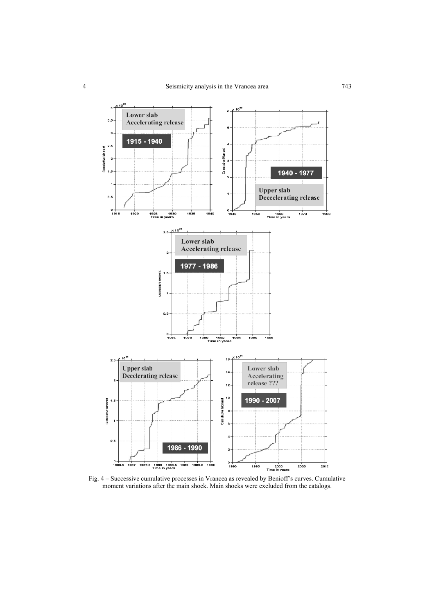

Fig. 4 – Successive cumulative processes in Vrancea as revealed by Benioff's curves. Cumulative moment variations after the main shock. Main shocks were excluded from the catalogs.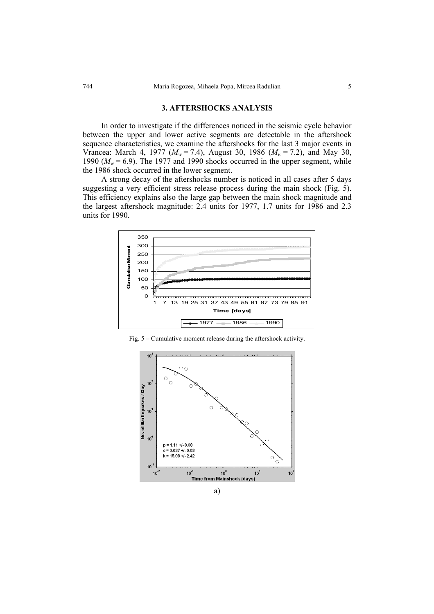#### **3. AFTERSHOCKS ANALYSIS**

In order to investigate if the differences noticed in the seismic cycle behavior between the upper and lower active segments are detectable in the aftershock sequence characteristics, we examine the aftershocks for the last 3 major events in Vrancea: March 4, 1977 (*Mw* = 7.4), August 30, 1986 (*Mw* = 7.2), and May 30, 1990 ( $M_w$  = 6.9). The 1977 and 1990 shocks occurred in the upper segment, while the 1986 shock occurred in the lower segment.

A strong decay of the aftershocks number is noticed in all cases after 5 days suggesting a very efficient stress release process during the main shock (Fig. 5). This efficiency explains also the large gap between the main shock magnitude and the largest aftershock magnitude: 2.4 units for 1977, 1.7 units for 1986 and 2.3 units for 1990.



Fig. 5 – Cumulative moment release during the aftershock activity.

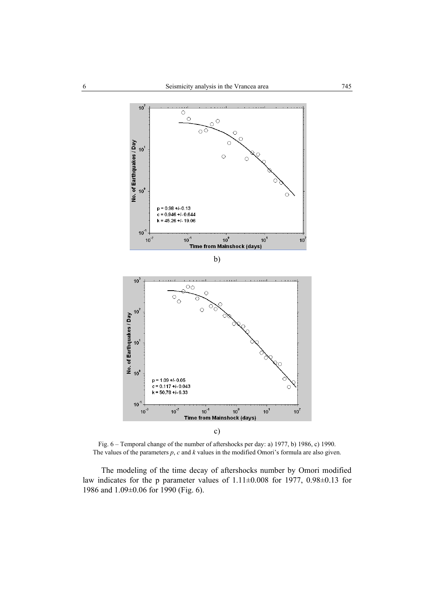

Fig. 6 – Temporal change of the number of aftershocks per day: a) 1977, b) 1986, c) 1990. The values of the parameters *p*, *c* and *k* values in the modified Omori's formula are also given.

The modeling of the time decay of aftershocks number by Omori modified law indicates for the p parameter values of 1.11±0.008 for 1977, 0.98±0.13 for 1986 and 1.09±0.06 for 1990 (Fig. 6).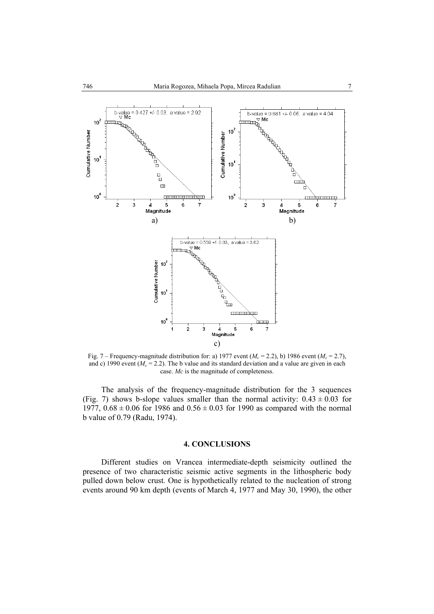

Fig. 7 – Frequency-magnitude distribution for: a) 1977 event ( $M_c$  = 2.2), b) 1986 event ( $M_c$  = 2.7), and c) 1990 event ( $M_c = 2.2$ ). The b value and its standard deviation and a value are given in each case. *Mc* is the magnitude of completeness.

The analysis of the frequency-magnitude distribution for the 3 sequences (Fig. 7) shows b-slope values smaller than the normal activity:  $0.43 \pm 0.03$  for 1977,  $0.68 \pm 0.06$  for 1986 and  $0.56 \pm 0.03$  for 1990 as compared with the normal b value of 0.79 (Radu, 1974).

### **4. CONCLUSIONS**

Different studies on Vrancea intermediate-depth seismicity outlined the presence of two characteristic seismic active segments in the lithospheric body pulled down below crust. One is hypothetically related to the nucleation of strong events around 90 km depth (events of March 4, 1977 and May 30, 1990), the other